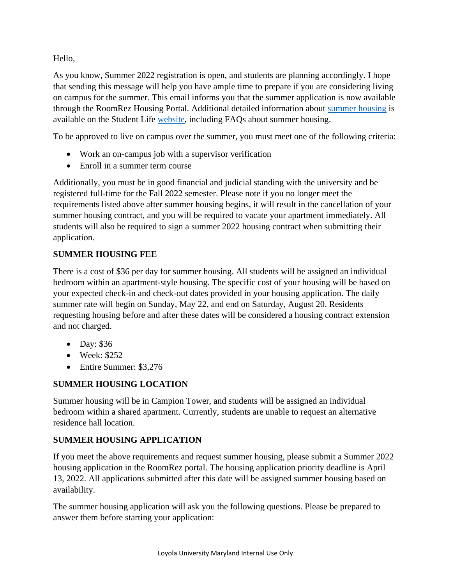Hello,

As you know, Summer 2022 registration is open, and students are planning accordingly. I hope that sending this message will help you have ample time to prepare if you are considering living on campus for the summer. This email informs you that the summer application is now available through the RoomRez Housing Portal. Additional detailed information about [summer housing](http://www.loyola.edu/department/student-life/housing-process/summer-housing) is available on the Student Life [website,](http://www.loyola.edu/department/student-life/housing-process/summer-housing) including FAQs about summer housing.

To be approved to live on campus over the summer, you must meet one of the following criteria:

- Work an on-campus job with a supervisor verification
- Enroll in a summer term course

Additionally, you must be in good financial and judicial standing with the university and be registered full-time for the Fall 2022 semester. Please note if you no longer meet the requirements listed above after summer housing begins, it will result in the cancellation of your summer housing contract, and you will be required to vacate your apartment immediately. All students will also be required to sign a summer 2022 housing contract when submitting their application.

## **SUMMER HOUSING FEE**

There is a cost of \$36 per day for summer housing. All students will be assigned an individual bedroom within an apartment-style housing. The specific cost of your housing will be based on your expected check-in and check-out dates provided in your housing application. The daily summer rate will begin on Sunday, May 22, and end on Saturday, August 20. Residents requesting housing before and after these dates will be considered a housing contract extension and not charged.

- Day: \$36
- Week: \$252
- Entire Summer: \$3,276

# **SUMMER HOUSING LOCATION**

Summer housing will be in Campion Tower, and students will be assigned an individual bedroom within a shared apartment. Currently, students are unable to request an alternative residence hall location.

### **SUMMER HOUSING APPLICATION**

If you meet the above requirements and request summer housing, please submit a Summer 2022 housing application in the RoomRez portal. The housing application priority deadline is April 13, 2022. All applications submitted after this date will be assigned summer housing based on availability.

The summer housing application will ask you the following questions. Please be prepared to answer them before starting your application: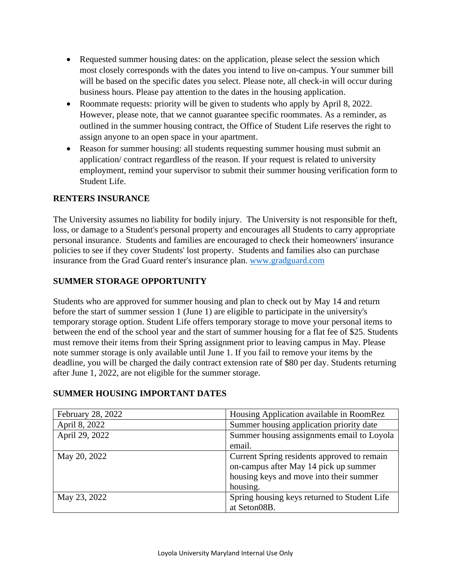- Requested summer housing dates: on the application, please select the session which most closely corresponds with the dates you intend to live on-campus. Your summer bill will be based on the specific dates you select. Please note, all check-in will occur during business hours. Please pay attention to the dates in the housing application.
- Roommate requests: priority will be given to students who apply by April 8, 2022. However, please note, that we cannot guarantee specific roommates. As a reminder, as outlined in the summer housing contract, the Office of Student Life reserves the right to assign anyone to an open space in your apartment.
- Reason for summer housing: all students requesting summer housing must submit an application/ contract regardless of the reason. If your request is related to university employment, remind your supervisor to submit their summer housing verification form to Student Life.

#### **RENTERS INSURANCE**

The University assumes no liability for bodily injury. The University is not responsible for theft, loss, or damage to a Student's personal property and encourages all Students to carry appropriate personal insurance. Students and families are encouraged to check their homeowners' insurance policies to see if they cover Students' lost property. Students and families also can purchase insurance from the Grad Guard renter's insurance plan. [www.gradguard.com](http://www.gradguard.com/)

### **SUMMER STORAGE OPPORTUNITY**

Students who are approved for summer housing and plan to check out by May 14 and return before the start of summer session 1 (June 1) are eligible to participate in the university's temporary storage option. Student Life offers temporary storage to move your personal items to between the end of the school year and the start of summer housing for a flat fee of \$25. Students must remove their items from their Spring assignment prior to leaving campus in May. Please note summer storage is only available until June 1. If you fail to remove your items by the deadline, you will be charged the daily contract extension rate of \$80 per day. Students returning after June 1, 2022, are not eligible for the summer storage.

| February 28, 2022 | Housing Application available in RoomRez                                                                                                    |
|-------------------|---------------------------------------------------------------------------------------------------------------------------------------------|
| April 8, 2022     | Summer housing application priority date                                                                                                    |
| April 29, 2022    | Summer housing assignments email to Loyola                                                                                                  |
|                   | email.                                                                                                                                      |
| May 20, 2022      | Current Spring residents approved to remain<br>on-campus after May 14 pick up summer<br>housing keys and move into their summer<br>housing. |
| May 23, 2022      | Spring housing keys returned to Student Life<br>at Seton08B.                                                                                |

#### **SUMMER HOUSING IMPORTANT DATES**